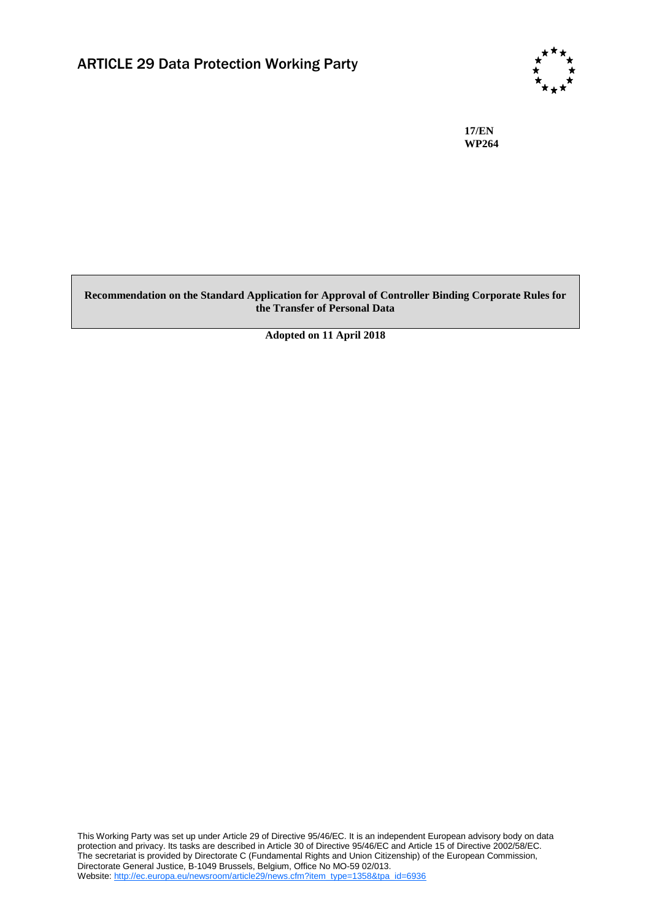

**17/EN WP264**

### **Recommendation on the Standard Application for Approval of Controller Binding Corporate Rules for the Transfer of Personal Data**

**Adopted on 11 April 2018**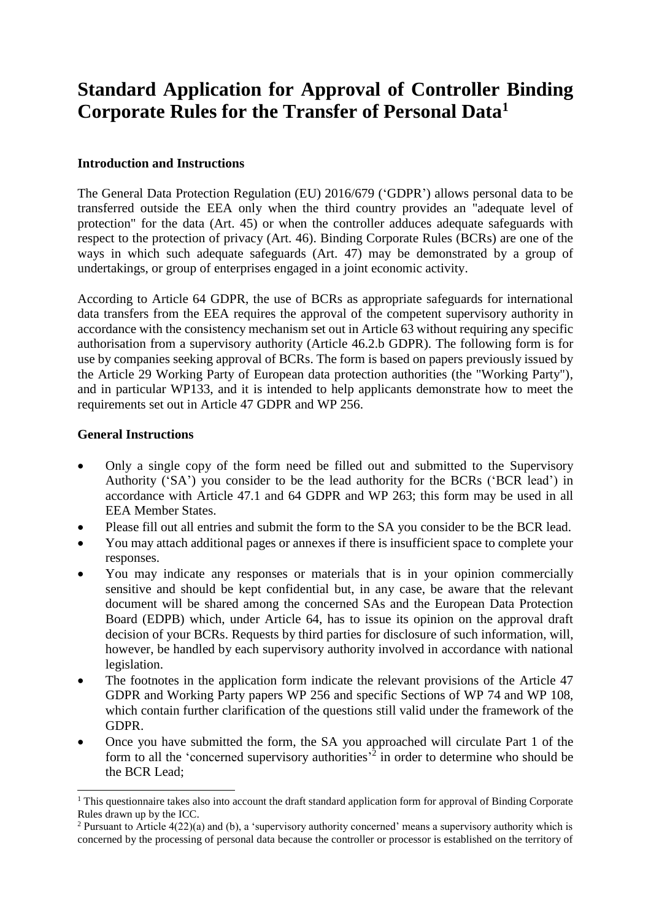# **Standard Application for Approval of Controller Binding Corporate Rules for the Transfer of Personal Data<sup>1</sup>**

## **Introduction and Instructions**

The General Data Protection Regulation (EU) 2016/679 ('GDPR') allows personal data to be transferred outside the EEA only when the third country provides an "adequate level of protection" for the data (Art. 45) or when the controller adduces adequate safeguards with respect to the protection of privacy (Art. 46). Binding Corporate Rules (BCRs) are one of the ways in which such adequate safeguards (Art. 47) may be demonstrated by a group of undertakings, or group of enterprises engaged in a joint economic activity.

According to Article 64 GDPR, the use of BCRs as appropriate safeguards for international data transfers from the EEA requires the approval of the competent supervisory authority in accordance with the consistency mechanism set out in Article 63 without requiring any specific authorisation from a supervisory authority (Article 46.2.b GDPR). The following form is for use by companies seeking approval of BCRs. The form is based on papers previously issued by the Article 29 Working Party of European data protection authorities (the "Working Party"), and in particular WP133, and it is intended to help applicants demonstrate how to meet the requirements set out in Article 47 GDPR and WP 256.

## **General Instructions**

- Only a single copy of the form need be filled out and submitted to the Supervisory Authority ('SA') you consider to be the lead authority for the BCRs ('BCR lead') in accordance with Article 47.1 and 64 GDPR and WP 263; this form may be used in all EEA Member States.
- Please fill out all entries and submit the form to the SA you consider to be the BCR lead.
- You may attach additional pages or annexes if there is insufficient space to complete your responses.
- You may indicate any responses or materials that is in your opinion commercially sensitive and should be kept confidential but, in any case, be aware that the relevant document will be shared among the concerned SAs and the European Data Protection Board (EDPB) which, under Article 64, has to issue its opinion on the approval draft decision of your BCRs. Requests by third parties for disclosure of such information, will, however, be handled by each supervisory authority involved in accordance with national legislation.
- The footnotes in the application form indicate the relevant provisions of the Article 47 GDPR and Working Party papers WP 256 and specific Sections of WP 74 and WP 108, which contain further clarification of the questions still valid under the framework of the GDPR.
- Once you have submitted the form, the SA you approached will circulate Part 1 of the form to all the 'concerned supervisory authorities<sup>22</sup> in order to determine who should be the BCR Lead;

<sup>&</sup>lt;sup>1</sup> This questionnaire takes also into account the draft standard application form for approval of Binding Corporate Rules drawn up by the ICC.

<sup>&</sup>lt;sup>2</sup> Pursuant to Article  $4(22)(a)$  and (b), a 'supervisory authority concerned' means a supervisory authority which is concerned by the processing of personal data because the controller or processor is established on the territory of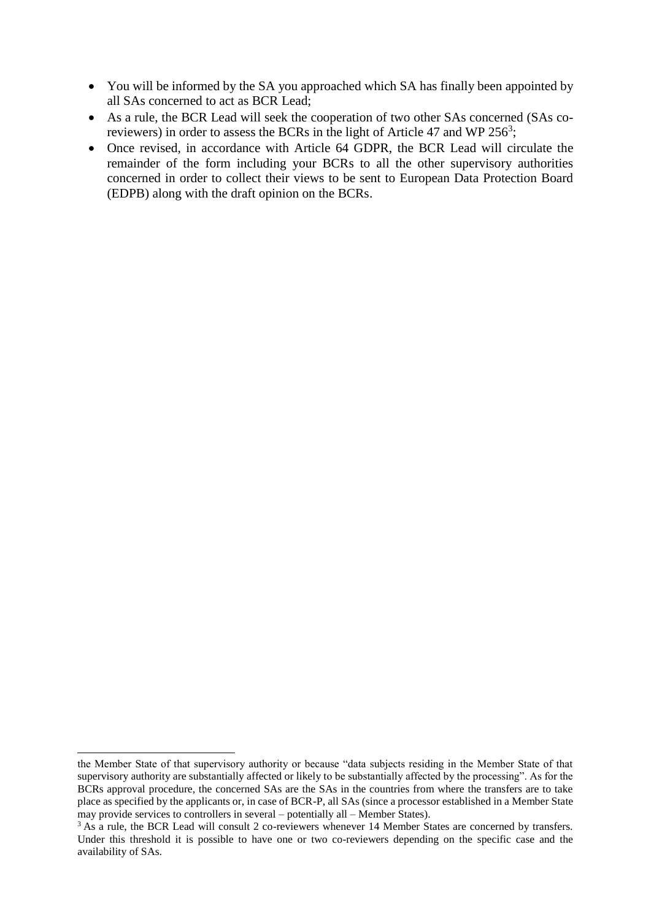- You will be informed by the SA you approached which SA has finally been appointed by all SAs concerned to act as BCR Lead;
- As a rule, the BCR Lead will seek the cooperation of two other SAs concerned (SAs coreviewers) in order to assess the BCRs in the light of Article 47 and WP 256<sup>3</sup>;
- Once revised, in accordance with Article 64 GDPR, the BCR Lead will circulate the remainder of the form including your BCRs to all the other supervisory authorities concerned in order to collect their views to be sent to European Data Protection Board (EDPB) along with the draft opinion on the BCRs.

the Member State of that supervisory authority or because "data subjects residing in the Member State of that supervisory authority are substantially affected or likely to be substantially affected by the processing". As for the BCRs approval procedure, the concerned SAs are the SAs in the countries from where the transfers are to take place as specified by the applicants or, in case of BCR-P, all SAs (since a processor established in a Member State may provide services to controllers in several – potentially all – Member States).

<sup>&</sup>lt;sup>3</sup> As a rule, the BCR Lead will consult 2 co-reviewers whenever 14 Member States are concerned by transfers. Under this threshold it is possible to have one or two co-reviewers depending on the specific case and the availability of SAs.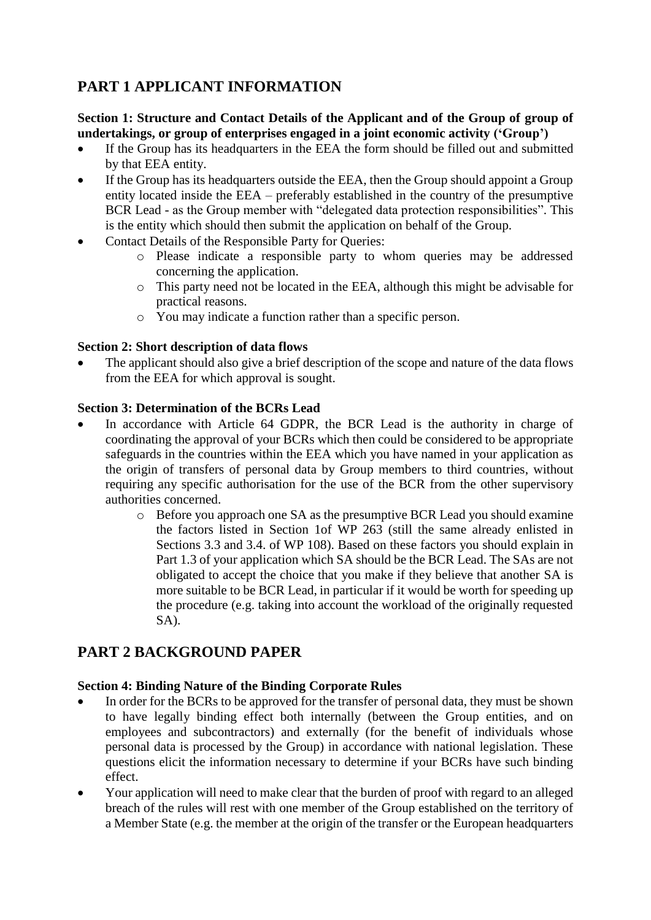# **PART 1 APPLICANT INFORMATION**

## **Section 1: Structure and Contact Details of the Applicant and of the Group of group of undertakings, or group of enterprises engaged in a joint economic activity ('Group')**

- If the Group has its headquarters in the EEA the form should be filled out and submitted by that EEA entity.
- If the Group has its headquarters outside the EEA, then the Group should appoint a Group entity located inside the EEA – preferably established in the country of the presumptive BCR Lead - as the Group member with "delegated data protection responsibilities". This is the entity which should then submit the application on behalf of the Group.
- Contact Details of the Responsible Party for Queries:
	- o Please indicate a responsible party to whom queries may be addressed concerning the application.
	- o This party need not be located in the EEA, although this might be advisable for practical reasons.
	- o You may indicate a function rather than a specific person.

## **Section 2: Short description of data flows**

 The applicant should also give a brief description of the scope and nature of the data flows from the EEA for which approval is sought.

## **Section 3: Determination of the BCRs Lead**

- In accordance with Article 64 GDPR, the BCR Lead is the authority in charge of coordinating the approval of your BCRs which then could be considered to be appropriate safeguards in the countries within the EEA which you have named in your application as the origin of transfers of personal data by Group members to third countries, without requiring any specific authorisation for the use of the BCR from the other supervisory authorities concerned.
	- o Before you approach one SA as the presumptive BCR Lead you should examine the factors listed in Section 1of WP 263 (still the same already enlisted in Sections 3.3 and 3.4. of WP 108). Based on these factors you should explain in Part 1.3 of your application which SA should be the BCR Lead. The SAs are not obligated to accept the choice that you make if they believe that another SA is more suitable to be BCR Lead, in particular if it would be worth for speeding up the procedure (e.g. taking into account the workload of the originally requested SA).

## **PART 2 BACKGROUND PAPER**

## **Section 4: Binding Nature of the Binding Corporate Rules**

- In order for the BCRs to be approved for the transfer of personal data, they must be shown to have legally binding effect both internally (between the Group entities, and on employees and subcontractors) and externally (for the benefit of individuals whose personal data is processed by the Group) in accordance with national legislation. These questions elicit the information necessary to determine if your BCRs have such binding effect.
- Your application will need to make clear that the burden of proof with regard to an alleged breach of the rules will rest with one member of the Group established on the territory of a Member State (e.g. the member at the origin of the transfer or the European headquarters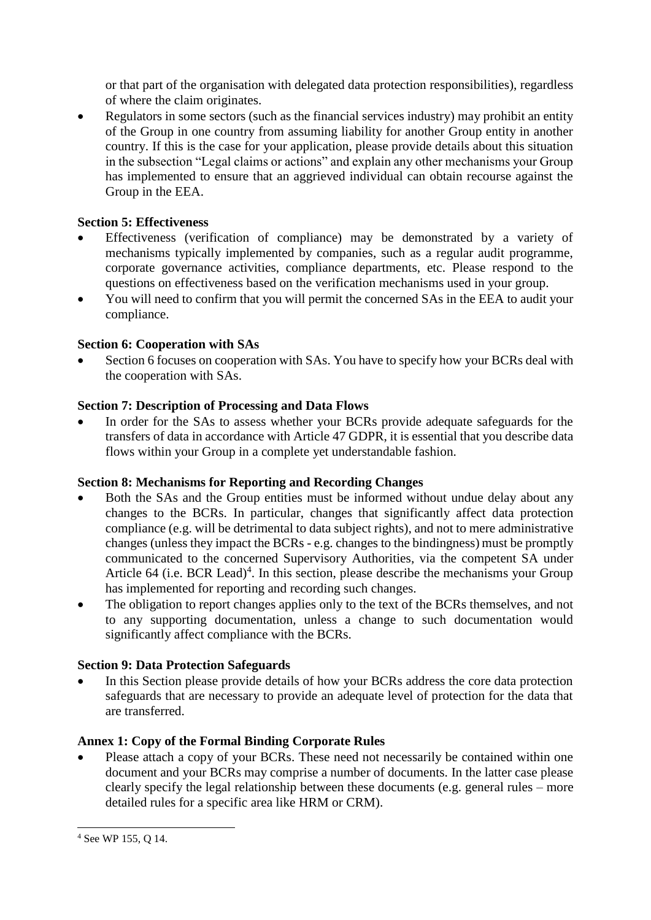or that part of the organisation with delegated data protection responsibilities), regardless of where the claim originates.

 Regulators in some sectors (such as the financial services industry) may prohibit an entity of the Group in one country from assuming liability for another Group entity in another country. If this is the case for your application, please provide details about this situation in the subsection "Legal claims or actions" and explain any other mechanisms your Group has implemented to ensure that an aggrieved individual can obtain recourse against the Group in the EEA.

## **Section 5: Effectiveness**

- Effectiveness (verification of compliance) may be demonstrated by a variety of mechanisms typically implemented by companies, such as a regular audit programme, corporate governance activities, compliance departments, etc. Please respond to the questions on effectiveness based on the verification mechanisms used in your group.
- You will need to confirm that you will permit the concerned SAs in the EEA to audit your compliance.

## **Section 6: Cooperation with SAs**

 Section 6 focuses on cooperation with SAs. You have to specify how your BCRs deal with the cooperation with SAs.

## **Section 7: Description of Processing and Data Flows**

 In order for the SAs to assess whether your BCRs provide adequate safeguards for the transfers of data in accordance with Article 47 GDPR, it is essential that you describe data flows within your Group in a complete yet understandable fashion.

## **Section 8: Mechanisms for Reporting and Recording Changes**

- Both the SAs and the Group entities must be informed without undue delay about any changes to the BCRs. In particular, changes that significantly affect data protection compliance (e.g. will be detrimental to data subject rights), and not to mere administrative changes (unless they impact the BCRs - e.g. changes to the bindingness) must be promptly communicated to the concerned Supervisory Authorities, via the competent SA under Article  $64$  (i.e. BCR Lead)<sup>4</sup>. In this section, please describe the mechanisms your Group has implemented for reporting and recording such changes.
- The obligation to report changes applies only to the text of the BCRs themselves, and not to any supporting documentation, unless a change to such documentation would significantly affect compliance with the BCRs.

## **Section 9: Data Protection Safeguards**

 In this Section please provide details of how your BCRs address the core data protection safeguards that are necessary to provide an adequate level of protection for the data that are transferred.

## **Annex 1: Copy of the Formal Binding Corporate Rules**

 Please attach a copy of your BCRs. These need not necessarily be contained within one document and your BCRs may comprise a number of documents. In the latter case please clearly specify the legal relationship between these documents (e.g. general rules – more detailed rules for a specific area like HRM or CRM).

 $\overline{a}$ <sup>4</sup> See WP 155, Q 14.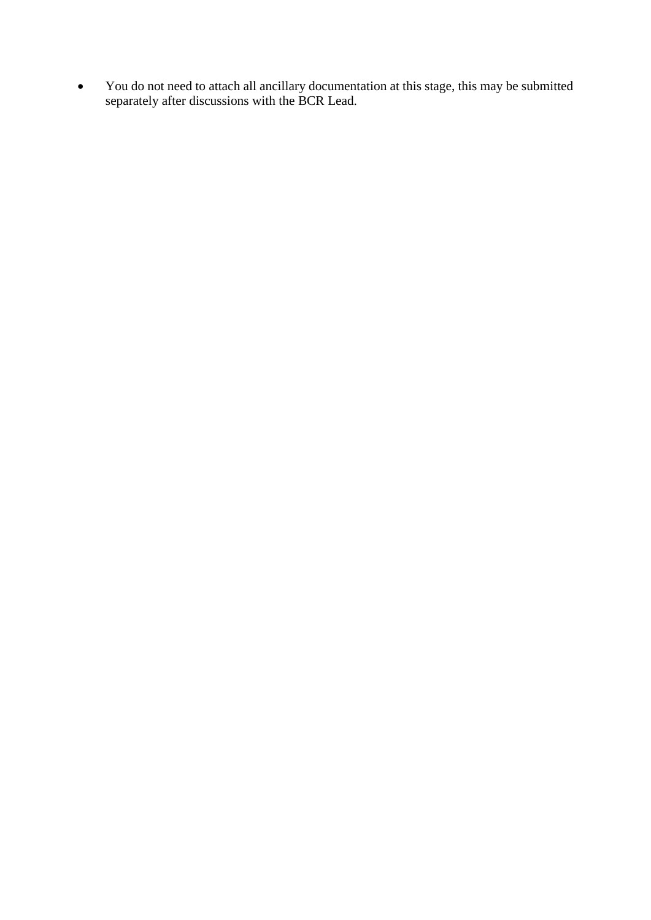You do not need to attach all ancillary documentation at this stage, this may be submitted separately after discussions with the BCR Lead.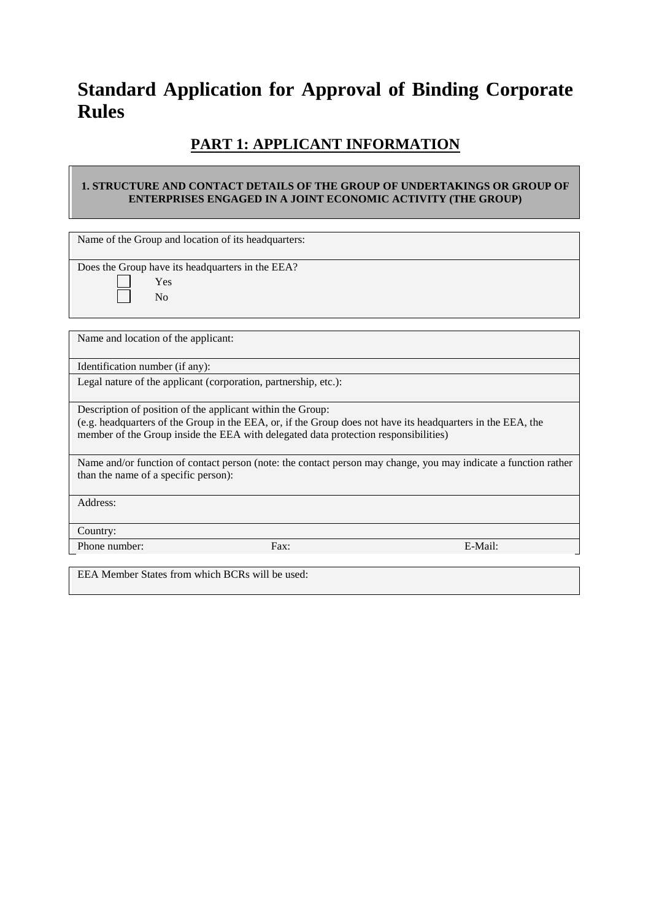# **Standard Application for Approval of Binding Corporate Rules**

# **PART 1: APPLICANT INFORMATION**

### **1. STRUCTURE AND CONTACT DETAILS OF THE GROUP OF UNDERTAKINGS OR GROUP OF ENTERPRISES ENGAGED IN A JOINT ECONOMIC ACTIVITY (THE GROUP)**

| Name of the Group and location of its headquarters:                                                                                                                       |      |                                                                                                                 |  |  |  |  |  |  |  |
|---------------------------------------------------------------------------------------------------------------------------------------------------------------------------|------|-----------------------------------------------------------------------------------------------------------------|--|--|--|--|--|--|--|
|                                                                                                                                                                           |      |                                                                                                                 |  |  |  |  |  |  |  |
| Does the Group have its headquarters in the EEA?                                                                                                                          |      |                                                                                                                 |  |  |  |  |  |  |  |
| Yes                                                                                                                                                                       |      |                                                                                                                 |  |  |  |  |  |  |  |
| N <sub>0</sub>                                                                                                                                                            |      |                                                                                                                 |  |  |  |  |  |  |  |
|                                                                                                                                                                           |      |                                                                                                                 |  |  |  |  |  |  |  |
|                                                                                                                                                                           |      |                                                                                                                 |  |  |  |  |  |  |  |
| Name and location of the applicant:                                                                                                                                       |      |                                                                                                                 |  |  |  |  |  |  |  |
|                                                                                                                                                                           |      |                                                                                                                 |  |  |  |  |  |  |  |
| Identification number (if any):                                                                                                                                           |      |                                                                                                                 |  |  |  |  |  |  |  |
| Legal nature of the applicant (corporation, partnership, etc.):                                                                                                           |      |                                                                                                                 |  |  |  |  |  |  |  |
|                                                                                                                                                                           |      |                                                                                                                 |  |  |  |  |  |  |  |
|                                                                                                                                                                           |      |                                                                                                                 |  |  |  |  |  |  |  |
| Description of position of the applicant within the Group:<br>(e.g. headquarters of the Group in the EEA, or, if the Group does not have its headquarters in the EEA, the |      |                                                                                                                 |  |  |  |  |  |  |  |
| member of the Group inside the EEA with delegated data protection responsibilities)                                                                                       |      |                                                                                                                 |  |  |  |  |  |  |  |
|                                                                                                                                                                           |      |                                                                                                                 |  |  |  |  |  |  |  |
|                                                                                                                                                                           |      | Name and/or function of contact person (note: the contact person may change, you may indicate a function rather |  |  |  |  |  |  |  |
| than the name of a specific person):                                                                                                                                      |      |                                                                                                                 |  |  |  |  |  |  |  |
|                                                                                                                                                                           |      |                                                                                                                 |  |  |  |  |  |  |  |
| Address:                                                                                                                                                                  |      |                                                                                                                 |  |  |  |  |  |  |  |
|                                                                                                                                                                           |      |                                                                                                                 |  |  |  |  |  |  |  |
|                                                                                                                                                                           |      |                                                                                                                 |  |  |  |  |  |  |  |
| Country:                                                                                                                                                                  |      |                                                                                                                 |  |  |  |  |  |  |  |
| Phone number:                                                                                                                                                             | Fax: | E-Mail:                                                                                                         |  |  |  |  |  |  |  |
|                                                                                                                                                                           |      |                                                                                                                 |  |  |  |  |  |  |  |
| EEA Member States from which BCRs will be used:                                                                                                                           |      |                                                                                                                 |  |  |  |  |  |  |  |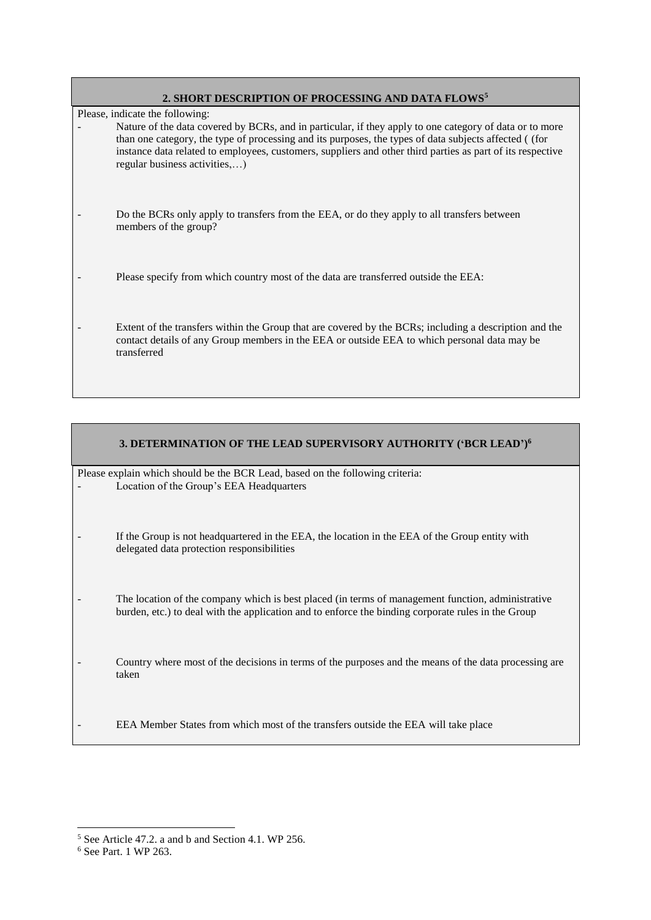| 2. SHORT DESCRIPTION OF PROCESSING AND DATA FLOWS <sup>5</sup> |  |  |  |  |  |  |  |
|----------------------------------------------------------------|--|--|--|--|--|--|--|
|----------------------------------------------------------------|--|--|--|--|--|--|--|

Please, indicate the following:

Nature of the data covered by BCRs, and in particular, if they apply to one category of data or to more than one category, the type of processing and its purposes, the types of data subjects affected ( (for instance data related to employees, customers, suppliers and other third parties as part of its respective regular business activities,…)

- Do the BCRs only apply to transfers from the EEA, or do they apply to all transfers between members of the group?
- Please specify from which country most of the data are transferred outside the EEA:
- Extent of the transfers within the Group that are covered by the BCRs; including a description and the contact details of any Group members in the EEA or outside EEA to which personal data may be transferred

| 3. DETERMINATION OF THE LEAD SUPERVISORY AUTHORITY ('BCR LEAD') <sup>6</sup>                                                                                                                            |
|---------------------------------------------------------------------------------------------------------------------------------------------------------------------------------------------------------|
| Please explain which should be the BCR Lead, based on the following criteria:<br>Location of the Group's EEA Headquarters                                                                               |
| If the Group is not headquartered in the EEA, the location in the EEA of the Group entity with<br>delegated data protection responsibilities                                                            |
| The location of the company which is best placed (in terms of management function, administrative<br>burden, etc.) to deal with the application and to enforce the binding corporate rules in the Group |
| Country where most of the decisions in terms of the purposes and the means of the data processing are<br>taken                                                                                          |
| EEA Member States from which most of the transfers outside the EEA will take place                                                                                                                      |

<sup>5</sup> See Article 47.2. a and b and Section 4.1. WP 256.

<sup>6</sup> See Part. 1 WP 263.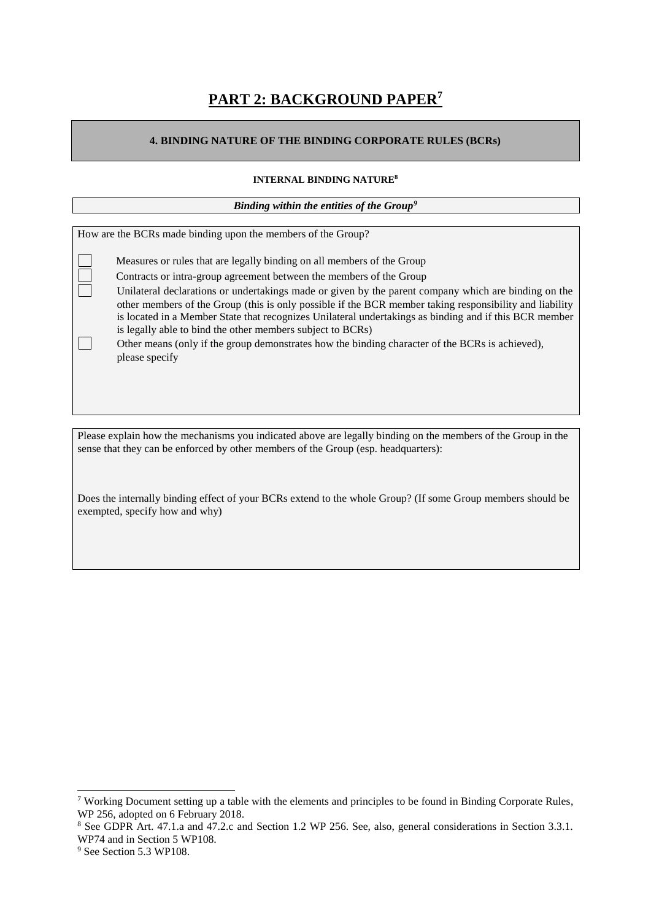# **PART 2: BACKGROUND PAPER<sup>7</sup>**

### **4. BINDING NATURE OF THE BINDING CORPORATE RULES (BCRs)**

### **INTERNAL BINDING NATURE<sup>8</sup>**

*Binding within the entities of the Group<sup>9</sup>*

| How are the BCRs made binding upon the members of the Group?                                                                                                                                                                                                                                                                                                                            |
|-----------------------------------------------------------------------------------------------------------------------------------------------------------------------------------------------------------------------------------------------------------------------------------------------------------------------------------------------------------------------------------------|
|                                                                                                                                                                                                                                                                                                                                                                                         |
|                                                                                                                                                                                                                                                                                                                                                                                         |
| Measures or rules that are legally binding on all members of the Group                                                                                                                                                                                                                                                                                                                  |
| Contracts or intra-group agreement between the members of the Group                                                                                                                                                                                                                                                                                                                     |
| Unilateral declarations or undertakings made or given by the parent company which are binding on the<br>other members of the Group (this is only possible if the BCR member taking responsibility and liability<br>is located in a Member State that recognizes Unilateral undertakings as binding and if this BCR member<br>is legally able to bind the other members subject to BCRs) |
| Other means (only if the group demonstrates how the binding character of the BCRs is achieved),<br>please specify                                                                                                                                                                                                                                                                       |

Please explain how the mechanisms you indicated above are legally binding on the members of the Group in the sense that they can be enforced by other members of the Group (esp. headquarters):

Does the internally binding effect of your BCRs extend to the whole Group? (If some Group members should be exempted, specify how and why)

<sup>7</sup> Working Document setting up a table with the elements and principles to be found in Binding Corporate Rules, WP 256, adopted on 6 February 2018.

<sup>8</sup> See GDPR Art. 47.1.a and 47.2.c and Section 1.2 WP 256. See, also, general considerations in Section 3.3.1. WP74 and in Section 5 WP108.

<sup>&</sup>lt;sup>9</sup> See Section 5.3 WP108.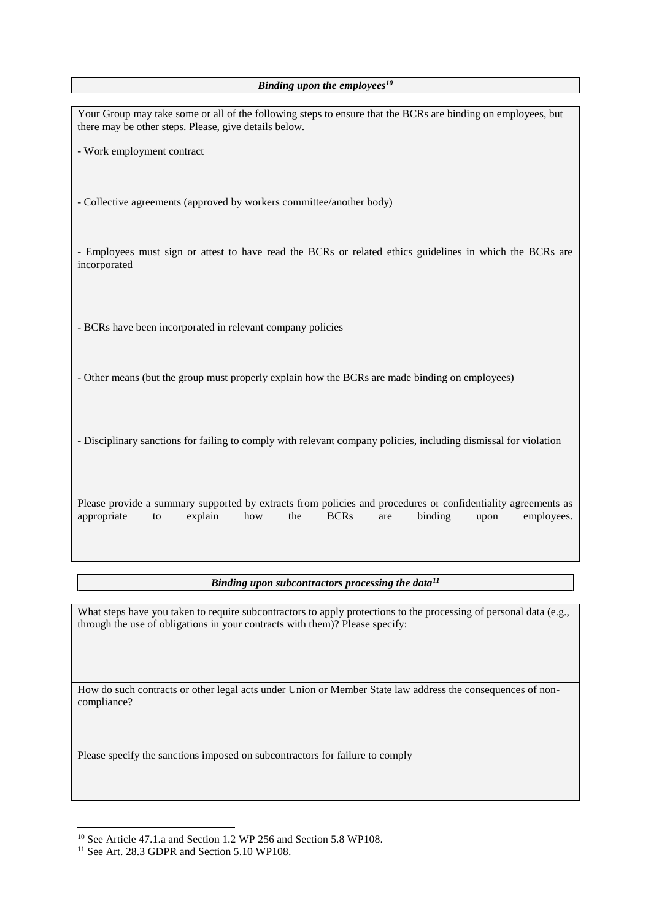*Binding upon the employees<sup>10</sup>*

| Your Group may take some or all of the following steps to ensure that the BCRs are binding on employees, but<br>there may be other steps. Please, give details below.                                             |  |  |  |  |  |  |  |
|-------------------------------------------------------------------------------------------------------------------------------------------------------------------------------------------------------------------|--|--|--|--|--|--|--|
| - Work employment contract                                                                                                                                                                                        |  |  |  |  |  |  |  |
| - Collective agreements (approved by workers committee/another body)                                                                                                                                              |  |  |  |  |  |  |  |
| - Employees must sign or attest to have read the BCRs or related ethics guidelines in which the BCRs are<br>incorporated                                                                                          |  |  |  |  |  |  |  |
| - BCRs have been incorporated in relevant company policies                                                                                                                                                        |  |  |  |  |  |  |  |
| - Other means (but the group must properly explain how the BCRs are made binding on employees)                                                                                                                    |  |  |  |  |  |  |  |
| - Disciplinary sanctions for failing to comply with relevant company policies, including dismissal for violation                                                                                                  |  |  |  |  |  |  |  |
| Please provide a summary supported by extracts from policies and procedures or confidentiality agreements as<br><b>BCRs</b><br>appropriate<br>explain<br>the<br>binding<br>employees.<br>how<br>to<br>are<br>upon |  |  |  |  |  |  |  |

*Binding upon subcontractors processing the data<sup>11</sup>*

What steps have you taken to require subcontractors to apply protections to the processing of personal data (e.g., through the use of obligations in your contracts with them)? Please specify:

How do such contracts or other legal acts under Union or Member State law address the consequences of noncompliance?

Please specify the sanctions imposed on subcontractors for failure to comply

<sup>&</sup>lt;sup>10</sup> See Article 47.1.a and Section 1.2 WP 256 and Section 5.8 WP108.

<sup>&</sup>lt;sup>11</sup> See Art. 28.3 GDPR and Section 5.10 WP108.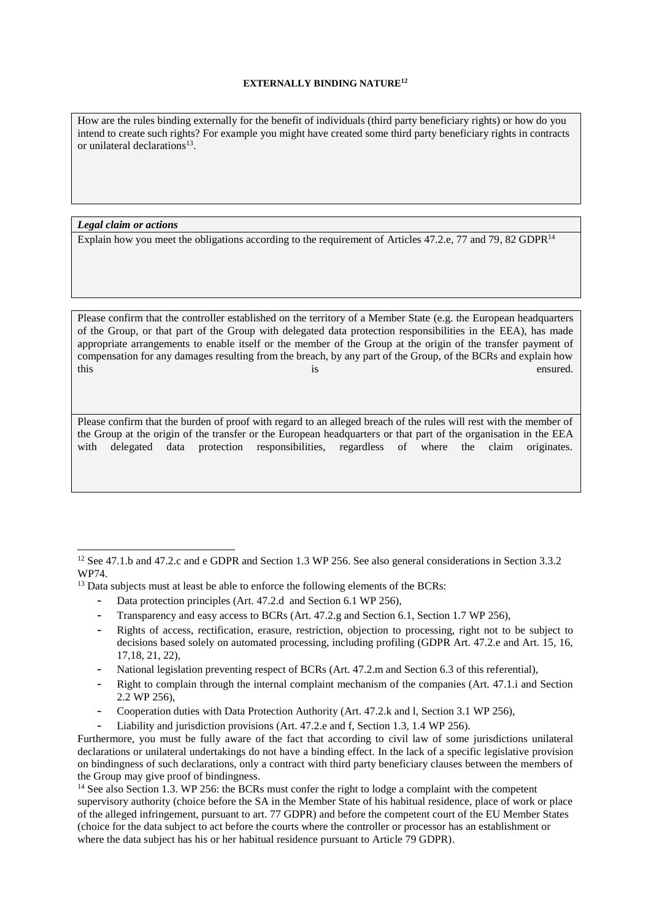#### **EXTERNALLY BINDING NATURE<sup>12</sup>**

How are the rules binding externally for the benefit of individuals (third party beneficiary rights) or how do you intend to create such rights? For example you might have created some third party beneficiary rights in contracts or unilateral declarations<sup>13</sup>.

*Legal claim or actions*

 $\overline{a}$ 

Explain how you meet the obligations according to the requirement of Articles 47.2.e, 77 and 79, 82 GDPR<sup>14</sup>

Please confirm that the controller established on the territory of a Member State (e.g. the European headquarters of the Group, or that part of the Group with delegated data protection responsibilities in the EEA), has made appropriate arrangements to enable itself or the member of the Group at the origin of the transfer payment of compensation for any damages resulting from the breach, by any part of the Group, of the BCRs and explain how this ensured. This is ensured.

Please confirm that the burden of proof with regard to an alleged breach of the rules will rest with the member of the Group at the origin of the transfer or the European headquarters or that part of the organisation in the EEA with delegated data protection responsibilities, regardless of where the claim originates.

- Data protection principles (Art. 47.2.d and Section 6.1 WP 256),
- Transparency and easy access to BCRs (Art. 47.2.g and Section 6.1, Section 1.7 WP 256),
- Rights of access, rectification, erasure, restriction, objection to processing, right not to be subject to decisions based solely on automated processing, including profiling (GDPR Art. 47.2.e and Art. 15, 16, 17,18, 21, 22),
- National legislation preventing respect of BCRs (Art. 47.2.m and Section 6.3 of this referential),
- Right to complain through the internal complaint mechanism of the companies (Art. 47.1.i and Section 2.2 WP 256),
- Cooperation duties with Data Protection Authority (Art. 47.2.k and l, Section 3.1 WP 256),
- Liability and jurisdiction provisions (Art. 47.2.e and f, Section 1.3, 1.4 WP 256).

<sup>&</sup>lt;sup>12</sup> See 47.1.b and 47.2.c and e GDPR and Section 1.3 WP 256. See also general considerations in Section 3.3.2 WP74.

<sup>&</sup>lt;sup>13</sup> Data subjects must at least be able to enforce the following elements of the BCRs:

Furthermore, you must be fully aware of the fact that according to civil law of some jurisdictions unilateral declarations or unilateral undertakings do not have a binding effect. In the lack of a specific legislative provision on bindingness of such declarations, only a contract with third party beneficiary clauses between the members of the Group may give proof of bindingness.

<sup>&</sup>lt;sup>14</sup> See also Section 1.3. WP 256: the BCRs must confer the right to lodge a complaint with the competent supervisory authority (choice before the SA in the Member State of his habitual residence, place of work or place of the alleged infringement, pursuant to art. 77 GDPR) and before the competent court of the EU Member States (choice for the data subject to act before the courts where the controller or processor has an establishment or where the data subject has his or her habitual residence pursuant to Article 79 GDPR).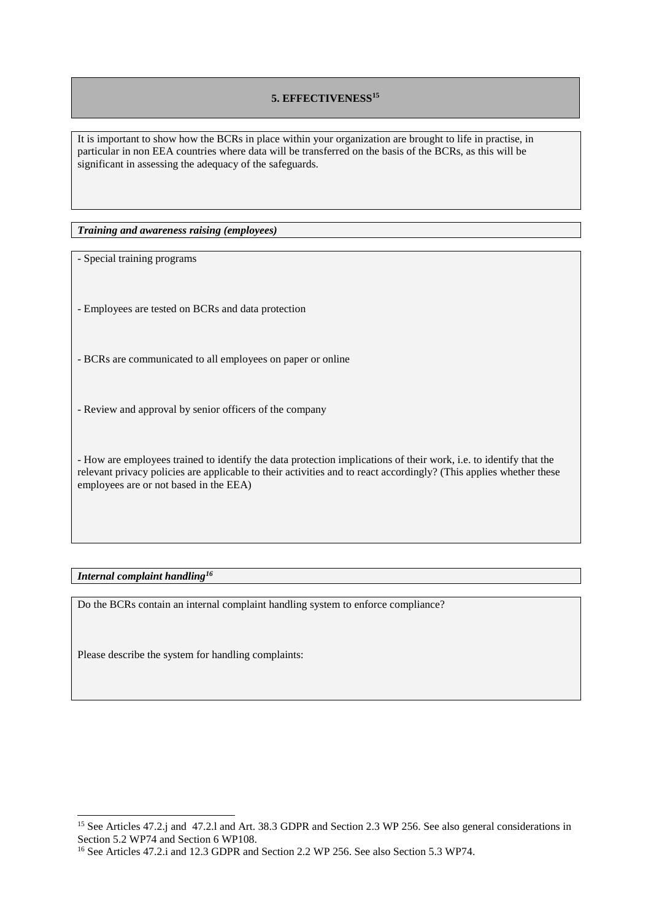### **5. EFFECTIVENESS<sup>15</sup>**

It is important to show how the BCRs in place within your organization are brought to life in practise, in particular in non EEA countries where data will be transferred on the basis of the BCRs, as this will be significant in assessing the adequacy of the safeguards.

*Training and awareness raising (employees)*

- Special training programs

- Employees are tested on BCRs and data protection

- BCRs are communicated to all employees on paper or online

- Review and approval by senior officers of the company

- How are employees trained to identify the data protection implications of their work, i.e. to identify that the relevant privacy policies are applicable to their activities and to react accordingly? (This applies whether these employees are or not based in the EEA)

*Internal complaint handling<sup>16</sup>*

 $\overline{a}$ 

Do the BCRs contain an internal complaint handling system to enforce compliance?

Please describe the system for handling complaints:

<sup>&</sup>lt;sup>15</sup> See Articles 47.2.j and 47.2.l and Art. 38.3 GDPR and Section 2.3 WP 256. See also general considerations in Section 5.2 WP74 and Section 6 WP108.

<sup>16</sup> See Articles 47.2.i and 12.3 GDPR and Section 2.2 WP 256. See also Section 5.3 WP74.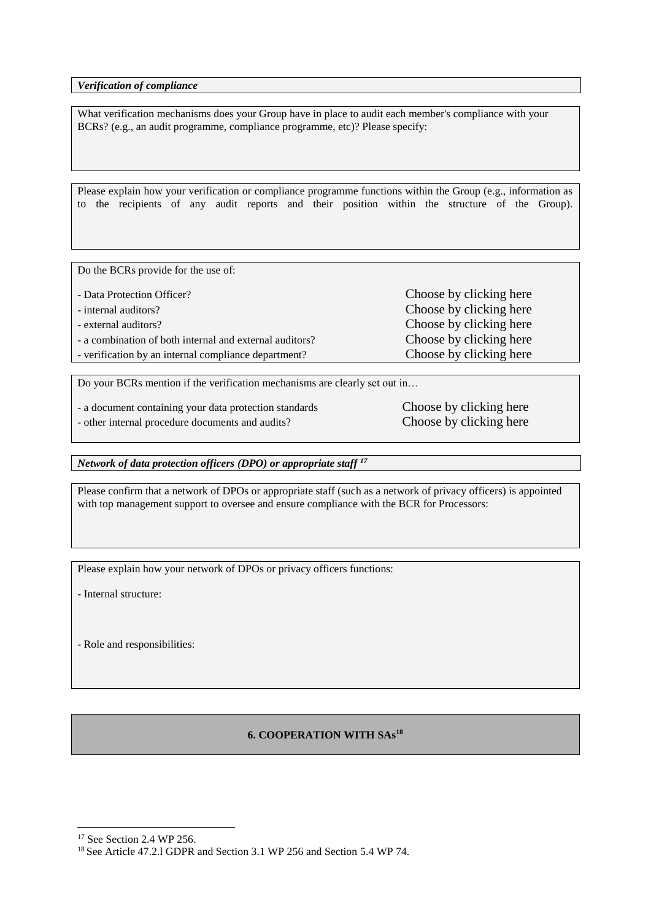*Verification of compliance*

What verification mechanisms does your Group have in place to audit each member's compliance with your BCRs? (e.g., an audit programme, compliance programme, etc)? Please specify:

Please explain how your verification or compliance programme functions within the Group (e.g., information as to the recipients of any audit reports and their position within the structure of the Group).

Do the BCRs provide for the use of:

- Data Protection Officer? Choose by clicking here - internal auditors? Choose by clicking here - external auditors? Choose by clicking here - a combination of both internal and external auditors? Choose by clicking here - verification by an internal compliance department? Choose by clicking here

Do your BCRs mention if the verification mechanisms are clearly set out in…

- a document containing your data protection standards Choose by clicking here

- other internal procedure documents and audits? Choose by clicking here

*Network of data protection officers (DPO) or appropriate staff <sup>17</sup>*

Please confirm that a network of DPOs or appropriate staff (such as a network of privacy officers) is appointed with top management support to oversee and ensure compliance with the BCR for Processors:

Please explain how your network of DPOs or privacy officers functions:

- Internal structure:

- Role and responsibilities:

### **6. COOPERATION WITH SAs<sup>18</sup>**

<sup>&</sup>lt;sup>17</sup> See Section 2.4 WP 256.

<sup>18</sup> See Article 47.2.l GDPR and Section 3.1 WP 256 and Section 5.4 WP 74.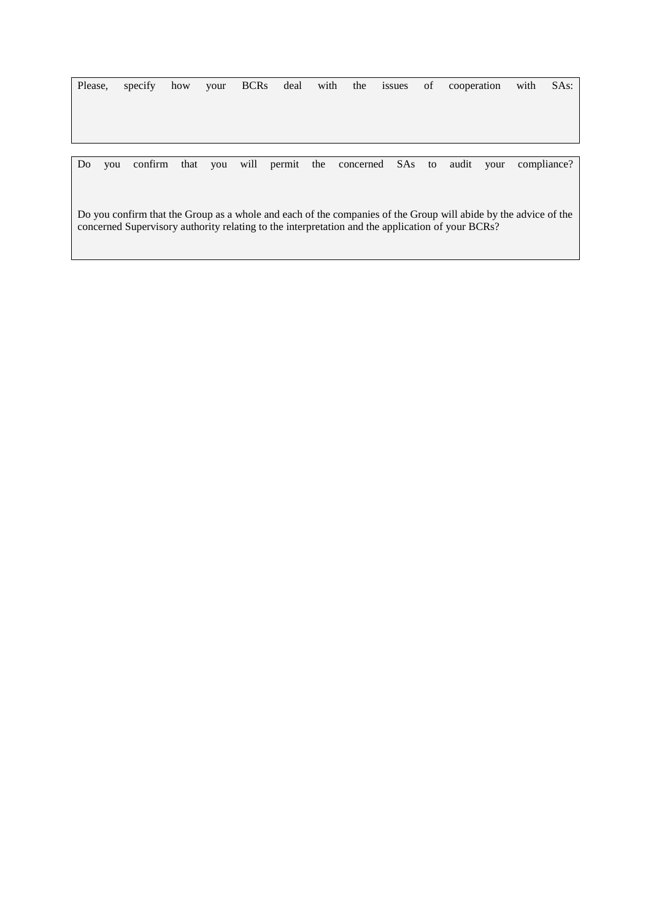|    | Please, |  |  |  | specify how your BCRs deal with the issues of cooperation with               |  |  | SAs: |
|----|---------|--|--|--|------------------------------------------------------------------------------|--|--|------|
|    |         |  |  |  |                                                                              |  |  |      |
|    |         |  |  |  |                                                                              |  |  |      |
|    |         |  |  |  |                                                                              |  |  |      |
|    |         |  |  |  |                                                                              |  |  |      |
|    |         |  |  |  |                                                                              |  |  |      |
| Do |         |  |  |  | you confirm that you will permit the concerned SAs to audit your compliance? |  |  |      |

Do you confirm that the Group as a whole and each of the companies of the Group will abide by the advice of the concerned Supervisory authority relating to the interpretation and the application of your BCRs?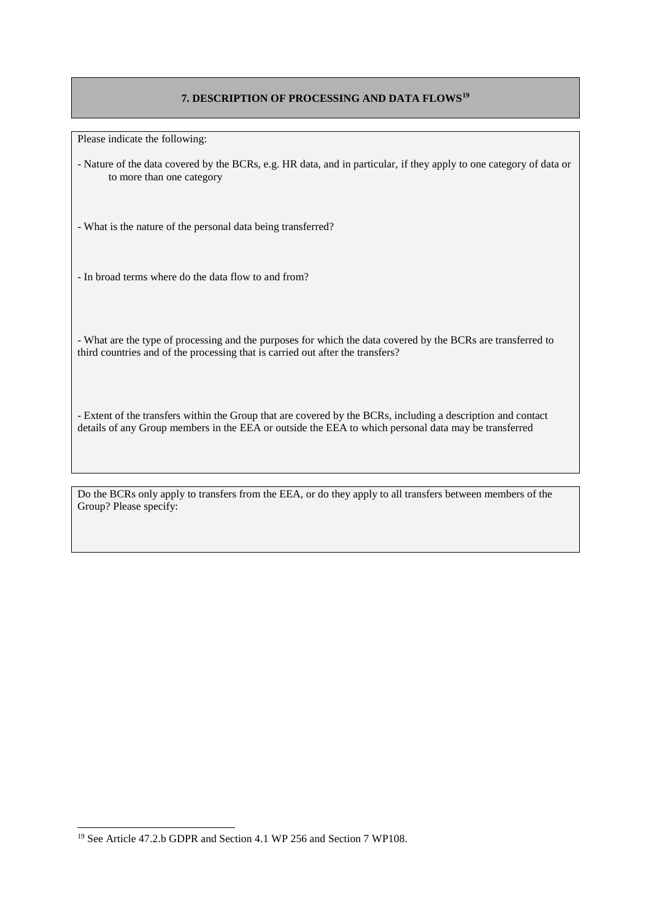### **7. DESCRIPTION OF PROCESSING AND DATA FLOWS<sup>19</sup>**

Please indicate the following:

- Nature of the data covered by the BCRs, e.g. HR data, and in particular, if they apply to one category of data or to more than one category

- What is the nature of the personal data being transferred?

- In broad terms where do the data flow to and from?

- What are the type of processing and the purposes for which the data covered by the BCRs are transferred to third countries and of the processing that is carried out after the transfers?

- Extent of the transfers within the Group that are covered by the BCRs, including a description and contact details of any Group members in the EEA or outside the EEA to which personal data may be transferred

Do the BCRs only apply to transfers from the EEA, or do they apply to all transfers between members of the Group? Please specify:

<sup>19</sup> See Article 47.2.b GDPR and Section 4.1 WP 256 and Section 7 WP108.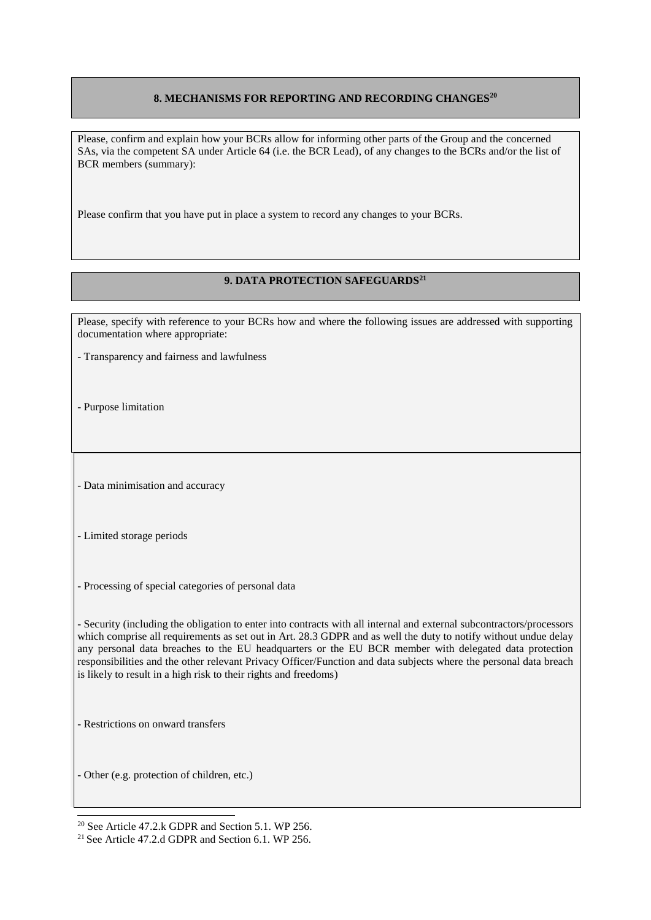### **8. MECHANISMS FOR REPORTING AND RECORDING CHANGES<sup>20</sup>**

Please, confirm and explain how your BCRs allow for informing other parts of the Group and the concerned SAs, via the competent SA under Article 64 (i.e. the BCR Lead), of any changes to the BCRs and/or the list of BCR members (summary):

Please confirm that you have put in place a system to record any changes to your BCRs.

## **9. DATA PROTECTION SAFEGUARDS<sup>21</sup>**

Please, specify with reference to your BCRs how and where the following issues are addressed with supporting documentation where appropriate:

- Transparency and fairness and lawfulness
- Purpose limitation

- Data minimisation and accuracy

- Limited storage periods
- Processing of special categories of personal data

- Security (including the obligation to enter into contracts with all internal and external subcontractors/processors which comprise all requirements as set out in Art. 28.3 GDPR and as well the duty to notify without undue delay any personal data breaches to the EU headquarters or the EU BCR member with delegated data protection responsibilities and the other relevant Privacy Officer/Function and data subjects where the personal data breach is likely to result in a high risk to their rights and freedoms)

- Restrictions on onward transfers

 $\overline{a}$ 

- Other (e.g. protection of children, etc.)

<sup>20</sup> See Article 47.2.k GDPR and Section 5.1. WP 256.

<sup>21</sup> See Article 47.2.d GDPR and Section 6.1. WP 256.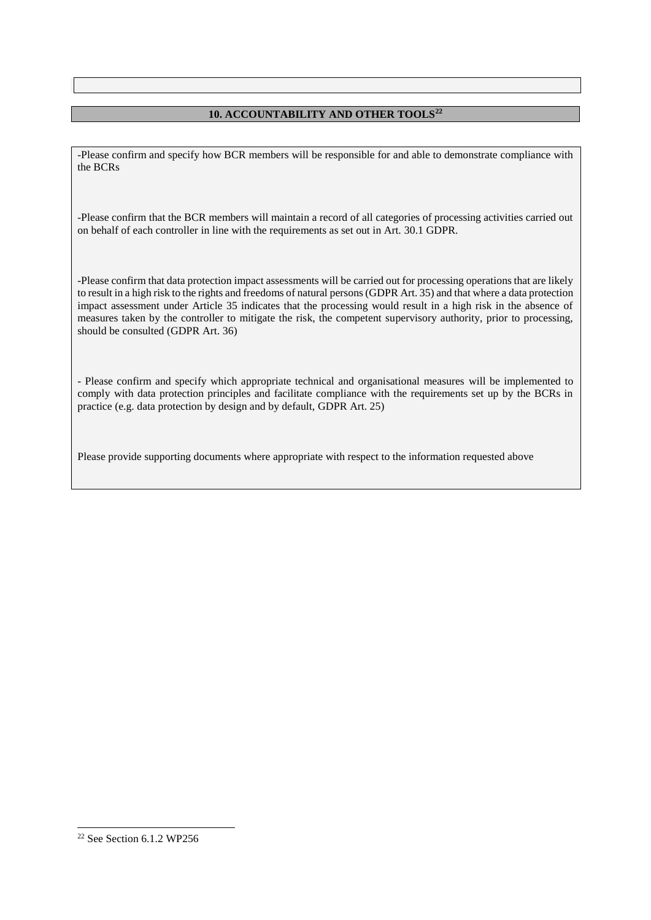### **10. ACCOUNTABILITY AND OTHER TOOLS<sup>22</sup>**

-Please confirm and specify how BCR members will be responsible for and able to demonstrate compliance with the BCRs

-Please confirm that the BCR members will maintain a record of all categories of processing activities carried out on behalf of each controller in line with the requirements as set out in Art. 30.1 GDPR.

-Please confirm that data protection impact assessments will be carried out for processing operations that are likely to result in a high risk to the rights and freedoms of natural persons (GDPR Art. 35) and that where a data protection impact assessment under Article 35 indicates that the processing would result in a high risk in the absence of measures taken by the controller to mitigate the risk, the competent supervisory authority, prior to processing, should be consulted (GDPR Art. 36)

- Please confirm and specify which appropriate technical and organisational measures will be implemented to comply with data protection principles and facilitate compliance with the requirements set up by the BCRs in practice (e.g. data protection by design and by default, GDPR Art. 25)

Please provide supporting documents where appropriate with respect to the information requested above

 $22$  See Section 6.1.2 WP256